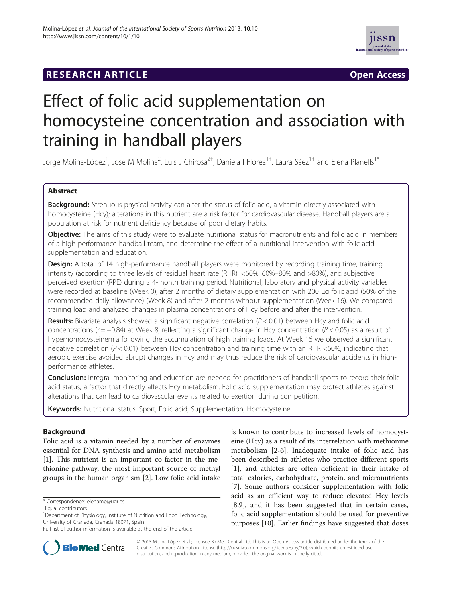### **RESEARCH ARTICLE Example 2018 12:00 Open Access**



# Effect of folic acid supplementation on homocysteine concentration and association with training in handball players

Jorge Molina-López<sup>1</sup>, José M Molina<sup>2</sup>, Luís J Chirosa<sup>2†</sup>, Daniela I Florea<sup>1†</sup>, Laura Sáez<sup>1†</sup> and Elena Planells<sup>1\*</sup>

#### Abstract

Background: Strenuous physical activity can alter the status of folic acid, a vitamin directly associated with homocysteine (Hcy); alterations in this nutrient are a risk factor for cardiovascular disease. Handball players are a population at risk for nutrient deficiency because of poor dietary habits.

Objective: The aims of this study were to evaluate nutritional status for macronutrients and folic acid in members of a high-performance handball team, and determine the effect of a nutritional intervention with folic acid supplementation and education.

**Design:** A total of 14 high-performance handball players were monitored by recording training time, training intensity (according to three levels of residual heart rate (RHR): <60%, 60%–80% and >80%), and subjective perceived exertion (RPE) during a 4-month training period. Nutritional, laboratory and physical activity variables were recorded at baseline (Week 0), after 2 months of dietary supplementation with 200 μg folic acid (50% of the recommended daily allowance) (Week 8) and after 2 months without supplementation (Week 16). We compared training load and analyzed changes in plasma concentrations of Hcy before and after the intervention.

**Results:** Bivariate analysis showed a significant negative correlation ( $P < 0.01$ ) between Hcy and folic acid concentrations ( $r = -0.84$ ) at Week 8, reflecting a significant change in Hcy concentration ( $P < 0.05$ ) as a result of hyperhomocysteinemia following the accumulation of high training loads. At Week 16 we observed a significant negative correlation ( $P < 0.01$ ) between Hcy concentration and training time with an RHR <60%, indicating that aerobic exercise avoided abrupt changes in Hcy and may thus reduce the risk of cardiovascular accidents in highperformance athletes.

**Conclusion:** Integral monitoring and education are needed for practitioners of handball sports to record their folic acid status, a factor that directly affects Hcy metabolism. Folic acid supplementation may protect athletes against alterations that can lead to cardiovascular events related to exertion during competition.

Keywords: Nutritional status, Sport, Folic acid, Supplementation, Homocysteine

#### Background

Folic acid is a vitamin needed by a number of enzymes essential for DNA synthesis and amino acid metabolism [[1\]](#page-6-0). This nutrient is an important co-factor in the methionine pathway, the most important source of methyl groups in the human organism [\[2\]](#page-6-0). Low folic acid intake

\* Correspondence: [elenamp@ugr.es](mailto:elenamp@ugr.es) †

is known to contribute to increased levels of homocysteine (Hcy) as a result of its interrelation with methionine metabolism [[2-6](#page-6-0)]. Inadequate intake of folic acid has been described in athletes who practice different sports [[1\]](#page-6-0), and athletes are often deficient in their intake of total calories, carbohydrate, protein, and micronutrients [[7\]](#page-6-0). Some authors consider supplementation with folic acid as an efficient way to reduce elevated Hcy levels [[8,9\]](#page-6-0), and it has been suggested that in certain cases, folic acid supplementation should be used for preventive purposes [[10\]](#page-6-0). Earlier findings have suggested that doses



© 2013 Molina-López et al.; licensee BioMed Central Ltd. This is an Open Access article distributed under the terms of the Creative Commons Attribution License (<http://creativecommons.org/licenses/by/2.0>), which permits unrestricted use, distribution, and reproduction in any medium, provided the original work is properly cited.

Equal contributors

<sup>&</sup>lt;sup>1</sup>Department of Physiology, Institute of Nutrition and Food Technology, University of Granada, Granada 18071, Spain

Full list of author information is available at the end of the article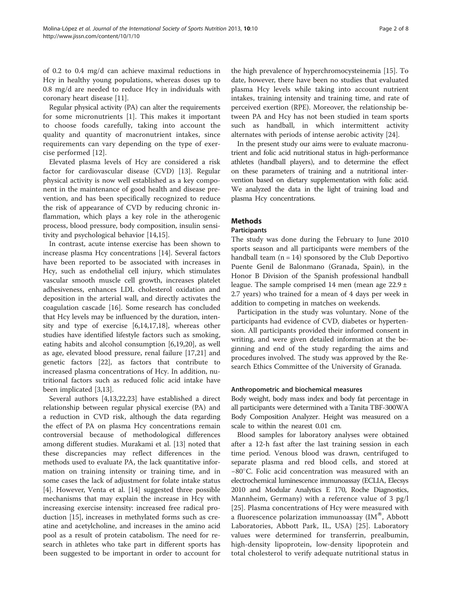coronary heart disease [\[11](#page-6-0)]. Regular physical activity (PA) can alter the requirements for some micronutrients [[1\]](#page-6-0). This makes it important to choose foods carefully, taking into account the quality and quantity of macronutrient intakes, since requirements can vary depending on the type of exercise performed [[12](#page-6-0)].

0.8 mg/d are needed to reduce Hcy in individuals with

Elevated plasma levels of Hcy are considered a risk factor for cardiovascular disease (CVD) [[13](#page-6-0)]. Regular physical activity is now well established as a key component in the maintenance of good health and disease prevention, and has been specifically recognized to reduce the risk of appearance of CVD by reducing chronic inflammation, which plays a key role in the atherogenic process, blood pressure, body composition, insulin sensitivity and psychological behavior [\[14,15](#page-6-0)].

In contrast, acute intense exercise has been shown to increase plasma Hcy concentrations [\[14\]](#page-6-0). Several factors have been reported to be associated with increases in Hcy, such as endothelial cell injury, which stimulates vascular smooth muscle cell growth, increases platelet adhesiveness, enhances LDL cholesterol oxidation and deposition in the arterial wall, and directly activates the coagulation cascade [\[16](#page-6-0)]. Some research has concluded that Hcy levels may be influenced by the duration, intensity and type of exercise [\[6,14](#page-6-0)[,17,18](#page-7-0)], whereas other studies have identified lifestyle factors such as smoking, eating habits and alcohol consumption [[6,](#page-6-0)[19,20\]](#page-7-0), as well as age, elevated blood pressure, renal failure [\[17,21\]](#page-7-0) and genetic factors [[22](#page-7-0)], as factors that contribute to increased plasma concentrations of Hcy. In addition, nutritional factors such as reduced folic acid intake have been implicated [[3,13\]](#page-6-0).

Several authors [[4,13,](#page-6-0)[22,23\]](#page-7-0) have established a direct relationship between regular physical exercise (PA) and a reduction in CVD risk, although the data regarding the effect of PA on plasma Hcy concentrations remain controversial because of methodological differences among different studies. Murakami et al. [[13](#page-6-0)] noted that these discrepancies may reflect differences in the methods used to evaluate PA, the lack quantitative information on training intensity or training time, and in some cases the lack of adjustment for folate intake status [[4\]](#page-6-0). However, Venta et al. [\[14](#page-6-0)] suggested three possible mechanisms that may explain the increase in Hcy with increasing exercise intensity: increased free radical production [[15](#page-6-0)], increases in methylated forms such as creatine and acetylcholine, and increases in the amino acid pool as a result of protein catabolism. The need for research in athletes who take part in different sports has been suggested to be important in order to account for the high prevalence of hyperchromocysteinemia [[15](#page-6-0)]. To date, however, there have been no studies that evaluated plasma Hcy levels while taking into account nutrient intakes, training intensity and training time, and rate of perceived exertion (RPE). Moreover, the relationship between PA and Hcy has not been studied in team sports such as handball, in which intermittent activity alternates with periods of intense aerobic activity [[24](#page-7-0)].

In the present study our aims were to evaluate macronutrient and folic acid nutritional status in high-performance athletes (handball players), and to determine the effect on these parameters of training and a nutritional intervention based on dietary supplementation with folic acid. We analyzed the data in the light of training load and plasma Hcy concentrations.

#### **Methods**

#### **Participants**

The study was done during the February to June 2010 sports season and all participants were members of the handball team  $(n = 14)$  sponsored by the Club Deportivo Puente Genil de Balonmano (Granada, Spain), in the Honor B Division of the Spanish professional handball league. The sample comprised 14 men (mean age 22.9 ± 2.7 years) who trained for a mean of 4 days per week in addition to competing in matches on weekends.

Participation in the study was voluntary. None of the participants had evidence of CVD, diabetes or hypertension. All participants provided their informed consent in writing, and were given detailed information at the beginning and end of the study regarding the aims and procedures involved. The study was approved by the Research Ethics Committee of the University of Granada.

#### Anthropometric and biochemical measures

Body weight, body mass index and body fat percentage in all participants were determined with a Tanita TBF-300WA Body Composition Analyzer. Height was measured on a scale to within the nearest 0.01 cm.

Blood samples for laboratory analyses were obtained after a 12-h fast after the last training session in each time period. Venous blood was drawn, centrifuged to separate plasma and red blood cells, and stored at −80C. Folic acid concentration was measured with an electrochemical luminescence immunoassay (ECLIA, Elecsys 2010 and Modular Analytics E 170, Roche Diagnostics, Mannheim, Germany) with a reference value of 3 pg/l [[25\]](#page-7-0). Plasma concentrations of Hcy were measured with a fluorescence polarization immunoassay  $(IM^{\circledast}, Abbott)$ Laboratories, Abbott Park, IL, USA) [\[25](#page-7-0)]. Laboratory values were determined for transferrin, prealbumin, high-density lipoprotein, low-density lipoprotein and total cholesterol to verify adequate nutritional status in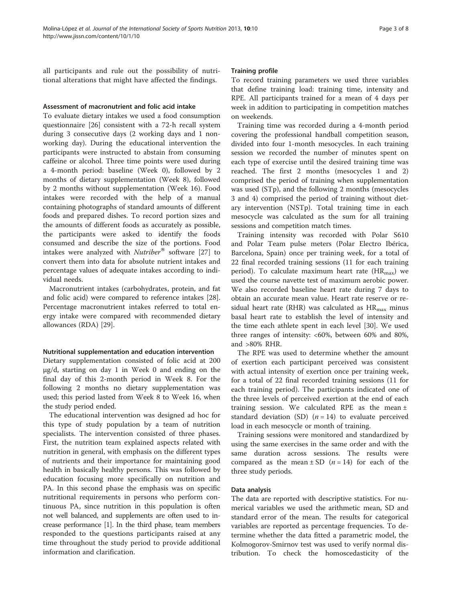all participants and rule out the possibility of nutritional alterations that might have affected the findings.

#### Assessment of macronutrient and folic acid intake

To evaluate dietary intakes we used a food consumption questionnaire [[26](#page-7-0)] consistent with a 72-h recall system during 3 consecutive days (2 working days and 1 nonworking day). During the educational intervention the participants were instructed to abstain from consuming caffeine or alcohol. Three time points were used during a 4-month period: baseline (Week 0), followed by 2 months of dietary supplementation (Week 8), followed by 2 months without supplementation (Week 16). Food intakes were recorded with the help of a manual containing photographs of standard amounts of different foods and prepared dishes. To record portion sizes and the amounts of different foods as accurately as possible, the participants were asked to identify the foods consumed and describe the size of the portions. Food intakes were analyzed with  $Nutriber^@$  software [[27](#page-7-0)] to convert them into data for absolute nutrient intakes and percentage values of adequate intakes according to individual needs.

Macronutrient intakes (carbohydrates, protein, and fat and folic acid) were compared to reference intakes [\[28](#page-7-0)]. Percentage macronutrient intakes referred to total energy intake were compared with recommended dietary allowances (RDA) [[29\]](#page-7-0).

#### Nutritional supplementation and education intervention

Dietary supplementation consisted of folic acid at 200 μg/d, starting on day 1 in Week 0 and ending on the final day of this 2-month period in Week 8. For the following 2 months no dietary supplementation was used; this period lasted from Week 8 to Week 16, when the study period ended.

The educational intervention was designed ad hoc for this type of study population by a team of nutrition specialists. The intervention consisted of three phases. First, the nutrition team explained aspects related with nutrition in general, with emphasis on the different types of nutrients and their importance for maintaining good health in basically healthy persons. This was followed by education focusing more specifically on nutrition and PA. In this second phase the emphasis was on specific nutritional requirements in persons who perform continuous PA, since nutrition in this population is often not well balanced, and supplements are often used to increase performance [\[1\]](#page-6-0). In the third phase, team members responded to the questions participants raised at any time throughout the study period to provide additional information and clarification.

#### Training profile

To record training parameters we used three variables that define training load: training time, intensity and RPE. All participants trained for a mean of 4 days per week in addition to participating in competition matches on weekends.

Training time was recorded during a 4-month period covering the professional handball competition season, divided into four 1-month mesocycles. In each training session we recorded the number of minutes spent on each type of exercise until the desired training time was reached. The first 2 months (mesocycles 1 and 2) comprised the period of training when supplementation was used (STp), and the following 2 months (mesocycles 3 and 4) comprised the period of training without dietary intervention (NSTp). Total training time in each mesocycle was calculated as the sum for all training sessions and competition match times.

Training intensity was recorded with Polar S610 and Polar Team pulse meters (Polar Electro Ibérica, Barcelona, Spain) once per training week, for a total of 22 final recorded training sessions (11 for each training period). To calculate maximum heart rate  $(HR_{\text{max}})$  we used the course navette test of maximum aerobic power. We also recorded baseline heart rate during 7 days to obtain an accurate mean value. Heart rate reserve or residual heart rate (RHR) was calculated as  $HR_{max}$  minus basal heart rate to establish the level of intensity and the time each athlete spent in each level [[30\]](#page-7-0). We used three ranges of intensity: <60%, between 60% and 80%, and >80% RHR.

The RPE was used to determine whether the amount of exertion each participant perceived was consistent with actual intensity of exertion once per training week, for a total of 22 final recorded training sessions (11 for each training period). The participants indicated one of the three levels of perceived exertion at the end of each training session. We calculated RPE as the mean  $\pm$ standard deviation (SD)  $(n = 14)$  to evaluate perceived load in each mesocycle or month of training.

Training sessions were monitored and standardized by using the same exercises in the same order and with the same duration across sessions. The results were compared as the mean  $\pm$  SD (*n* = 14) for each of the three study periods.

#### Data analysis

The data are reported with descriptive statistics. For numerical variables we used the arithmetic mean, SD and standard error of the mean. The results for categorical variables are reported as percentage frequencies. To determine whether the data fitted a parametric model, the Kolmogorov-Smirnov test was used to verify normal distribution. To check the homoscedasticity of the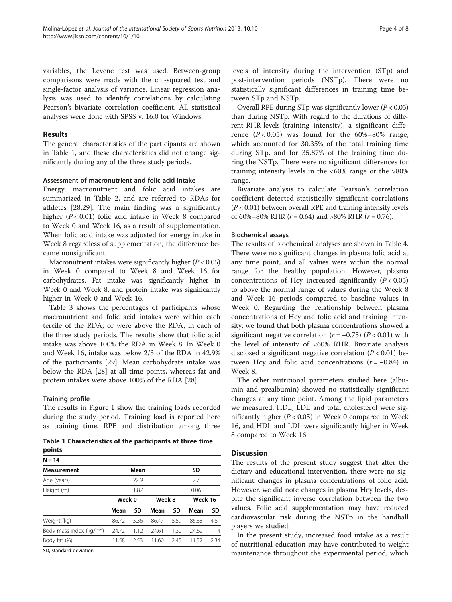variables, the Levene test was used. Between-group comparisons were made with the chi-squared test and single-factor analysis of variance. Linear regression analysis was used to identify correlations by calculating Pearson's bivariate correlation coefficient. All statistical analyses were done with SPSS v. 16.0 for Windows.

#### Results

The general characteristics of the participants are shown in Table 1, and these characteristics did not change significantly during any of the three study periods.

#### Assessment of macronutrient and folic acid intake

Energy, macronutrient and folic acid intakes are summarized in Table [2,](#page-4-0) and are referred to RDAs for athletes [[28](#page-7-0),[29](#page-7-0)]. The main finding was a significantly higher (P < 0.01) folic acid intake in Week 8 compared to Week 0 and Week 16, as a result of supplementation. When folic acid intake was adjusted for energy intake in Week 8 regardless of supplementation, the difference became nonsignificant.

Macronutrient intakes were significantly higher  $(P < 0.05)$ in Week 0 compared to Week 8 and Week 16 for carbohydrates. Fat intake was significantly higher in Week 0 and Week 8, and protein intake was significantly higher in Week 0 and Week 16.

Table [3](#page-4-0) shows the percentages of participants whose macronutrient and folic acid intakes were within each tercile of the RDA, or were above the RDA, in each of the three study periods. The results show that folic acid intake was above 100% the RDA in Week 8. In Week 0 and Week 16, intake was below 2/3 of the RDA in 42.9% of the participants [[29](#page-7-0)]. Mean carbohydrate intake was below the RDA [[28](#page-7-0)] at all time points, whereas fat and protein intakes were above 100% of the RDA [[28\]](#page-7-0).

#### Training profile

The results in Figure [1](#page-5-0) show the training loads recorded during the study period. Training load is reported here as training time, RPE and distribution among three

Table 1 Characteristics of the participants at three time points

| $N = 14$                    |        |      |        |      |         |      |
|-----------------------------|--------|------|--------|------|---------|------|
| <b>Measurement</b>          |        | Mean |        |      | SD      |      |
| Age (years)                 |        | 22.9 |        |      | 2.7     |      |
| Height (m)                  |        | 1.87 |        |      | 0.06    |      |
|                             | Week 0 |      | Week 8 |      | Week 16 |      |
|                             | Mean   | SD   | Mean   | SD   | Mean    | SD   |
| Weight (kg)                 | 86.72  | 5.36 | 86.47  | 5.59 | 86.38   | 4.81 |
| Body mass index ( $kg/m2$ ) | 24.72  | 1.12 | 24.61  | 1.30 | 24.62   | 1.14 |
| Body fat (%)                | 11.58  | 2.53 | 11.60  | 2.45 | 11.57   | 2.34 |
|                             |        |      |        |      |         |      |

SD, standard deviation.

levels of intensity during the intervention (STp) and post-intervention periods (NSTp). There were no statistically significant differences in training time between STp and NSTp.

Overall RPE during STp was significantly lower ( $P < 0.05$ ) than during NSTp. With regard to the durations of different RHR levels (training intensity), a significant difference  $(P < 0.05)$  was found for the 60%–80% range, which accounted for 30.35% of the total training time during STp, and for 35.87% of the training time during the NSTp. There were no significant differences for training intensity levels in the <60% range or the >80% range.

Bivariate analysis to calculate Pearson's correlation coefficient detected statistically significant correlations  $(P < 0.01)$  between overall RPE and training intensity levels of 60%–80% RHR ( $r = 0.64$ ) and >80% RHR ( $r = 0.76$ ).

#### Biochemical assays

The results of biochemical analyses are shown in Table [4](#page-5-0). There were no significant changes in plasma folic acid at any time point, and all values were within the normal range for the healthy population. However, plasma concentrations of Hcy increased significantly  $(P < 0.05)$ to above the normal range of values during the Week 8 and Week 16 periods compared to baseline values in Week 0. Regarding the relationship between plasma concentrations of Hcy and folic acid and training intensity, we found that both plasma concentrations showed a significant negative correlation  $(r = -0.75)$   $(P < 0.01)$  with the level of intensity of <60% RHR. Bivariate analysis disclosed a significant negative correlation  $(P < 0.01)$  between Hcy and folic acid concentrations  $(r = -0.84)$  in Week 8.

The other nutritional parameters studied here (albumin and prealbumin) showed no statistically significant changes at any time point. Among the lipid parameters we measured, HDL, LDL and total cholesterol were significantly higher ( $P < 0.05$ ) in Week 0 compared to Week 16, and HDL and LDL were significantly higher in Week 8 compared to Week 16.

#### **Discussion**

The results of the present study suggest that after the dietary and educational intervention, there were no significant changes in plasma concentrations of folic acid. However, we did note changes in plasma Hcy levels, despite the significant inverse correlation between the two values. Folic acid supplementation may have reduced cardiovascular risk during the NSTp in the handball players we studied.

In the present study, increased food intake as a result of nutritional education may have contributed to weight maintenance throughout the experimental period, which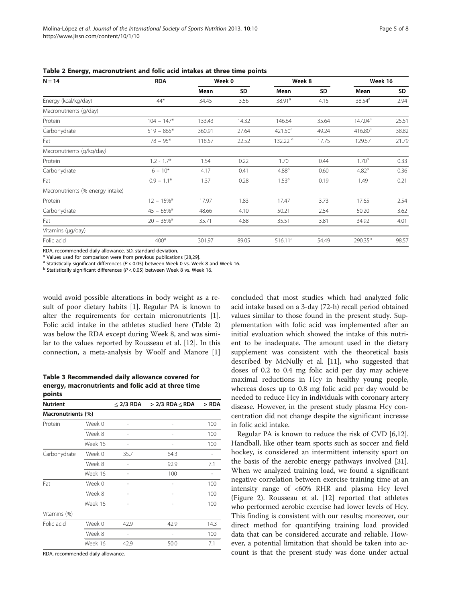| $N = 14$                         | <b>RDA</b>    | Week 0 |       | Week 8              |       | Week 16             |       |
|----------------------------------|---------------|--------|-------|---------------------|-------|---------------------|-------|
|                                  |               | Mean   | SD    | Mean                | SD    | Mean                | SD    |
| Energy (kcal/kg/day)             | $44*$         | 34.45  | 3.56  | 38.91 <sup>a</sup>  | 4.15  | 38.54 <sup>a</sup>  | 2.94  |
| Macronutrients (g/day)           |               |        |       |                     |       |                     |       |
| Protein                          | $104 - 147*$  | 133.43 | 14.32 | 146.64              | 35.64 | 147.04 <sup>a</sup> | 25.51 |
| Carbohydrate                     | $519 - 865*$  | 360.91 | 27.64 | 421.50 <sup>a</sup> | 49.24 | 416.80 <sup>a</sup> | 38.82 |
| Fat                              | $78 - 95*$    | 118.57 | 22.52 | 132.22 <sup>a</sup> | 17.75 | 129.57              | 21.79 |
| Macronutrients (g/kg/day)        |               |        |       |                     |       |                     |       |
| Protein                          | $1.2 - 1.7*$  | 1.54   | 0.22  | 1.70                | 0.44  | 1.70 <sup>a</sup>   | 0.33  |
| Carbohydrate                     | $6 - 10*$     | 4.17   | 0.41  | 4.88 <sup>a</sup>   | 0.60  | 4.82 <sup>a</sup>   | 0.36  |
| Fat                              | $0.9 - 1.1*$  | 1.37   | 0.28  | 1.53 <sup>a</sup>   | 0.19  | 1.49                | 0.21  |
| Macronutrients (% energy intake) |               |        |       |                     |       |                     |       |
| Protein                          | $12 - 15\%$ * | 17.97  | 1.83  | 17.47               | 3.73  | 17.65               | 2.54  |
| Carbohydrate                     | $45 - 65\%$ * | 48.66  | 4.10  | 50.21               | 2.54  | 50.20               | 3.62  |
| Fat                              | $20 - 35\%$ * | 35.71  | 4.88  | 35.51               | 3.81  | 34.92               | 4.01  |
| Vitamins (µg/day)                |               |        |       |                     |       |                     |       |
| Folic acid                       | $400*$        | 301.97 | 89.05 | 516.11 <sup>a</sup> | 54.49 | 290.35 <sup>b</sup> | 98.57 |

<span id="page-4-0"></span>Table 2 Energy, macronutrient and folic acid intakes at three time points

RDA, recommended daily allowance. SD, standard deviation.

\* Values used for comparison were from previous publications [[28](#page-7-0),[29\]](#page-7-0).<br>a Statistically significant differences (P < 0.05) between Week 0 vs. Week 8 and Week 16.<br>b Statistically significant differences (P < 0.05) between We

would avoid possible alterations in body weight as a result of poor dietary habits [[1](#page-6-0)]. Regular PA is known to alter the requirements for certain micronutrients [\[1](#page-6-0)]. Folic acid intake in the athletes studied here (Table 2) was below the RDA except during Week 8, and was similar to the values reported by Rousseau et al. [\[12](#page-6-0)]. In this connection, a meta-analysis by Woolf and Manore [\[1](#page-6-0)]

Table 3 Recommended daily allowance covered for energy, macronutrients and folic acid at three time points

| <b>Nutrient</b>    |         | $<$ 2/3 RDA | $> 2/3$ RDA $<$ RDA | > RDA |
|--------------------|---------|-------------|---------------------|-------|
| Macronutrients (%) |         |             |                     |       |
| Protein            | Week 0  |             | -                   | 100   |
|                    | Week 8  |             |                     | 100   |
|                    | Week 16 |             | -                   | 100   |
| Carbohydrate       | Week 0  | 35.7        | 64.3                |       |
|                    | Week 8  |             | 92.9                | 7.1   |
|                    | Week 16 |             | 100                 |       |
| Fat                | Week 0  |             |                     | 100   |
|                    | Week 8  |             |                     | 100   |
|                    | Week 16 |             |                     | 100   |
| Vitamins (%)       |         |             |                     |       |
| Folic acid         | Week 0  | 42.9        | 42.9                | 14.3  |
|                    | Week 8  |             |                     | 100   |
|                    | Week 16 | 42.9        | 50.0                | 7.1   |

RDA, recommended daily allowance.

concluded that most studies which had analyzed folic acid intake based on a 3-day (72-h) recall period obtained values similar to those found in the present study. Supplementation with folic acid was implemented after an initial evaluation which showed the intake of this nutrient to be inadequate. The amount used in the dietary supplement was consistent with the theoretical basis described by McNully et al. [[11\]](#page-6-0), who suggested that doses of 0.2 to 0.4 mg folic acid per day may achieve maximal reductions in Hcy in healthy young people, whereas doses up to 0.8 mg folic acid per day would be needed to reduce Hcy in individuals with coronary artery disease. However, in the present study plasma Hcy concentration did not change despite the significant increase in folic acid intake.

Regular PA is known to reduce the risk of CVD [\[6,12](#page-6-0)]. Handball, like other team sports such as soccer and field hockey, is considered an intermittent intensity sport on the basis of the aerobic energy pathways involved [\[31](#page-7-0)]. When we analyzed training load, we found a significant negative correlation between exercise training time at an intensity range of <60% RHR and plasma Hcy level (Figure [2\)](#page-6-0). Rousseau et al. [[12\]](#page-6-0) reported that athletes who performed aerobic exercise had lower levels of Hcy. This finding is consistent with our results; moreover, our direct method for quantifying training load provided data that can be considered accurate and reliable. However, a potential limitation that should be taken into account is that the present study was done under actual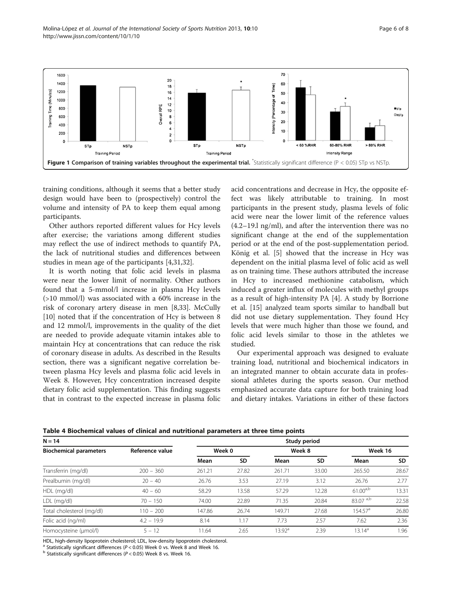<span id="page-5-0"></span>

training conditions, although it seems that a better study design would have been to (prospectively) control the volume and intensity of PA to keep them equal among participants.

Other authors reported different values for Hcy levels after exercise; the variations among different studies may reflect the use of indirect methods to quantify PA, the lack of nutritional studies and differences between studies in mean age of the participants [\[4](#page-6-0),[31,32](#page-7-0)].

It is worth noting that folic acid levels in plasma were near the lower limit of normality. Other authors found that a 5-mmol/l increase in plasma Hcy levels (>10 mmol/l) was associated with a 60% increase in the risk of coronary artery disease in men [[8,](#page-6-0)[33\]](#page-7-0). McCully [[10\]](#page-6-0) noted that if the concentration of Hcy is between 8 and 12 mmol/l, improvements in the quality of the diet are needed to provide adequate vitamin intakes able to maintain Hcy at concentrations that can reduce the risk of coronary disease in adults. As described in the Results section, there was a significant negative correlation between plasma Hcy levels and plasma folic acid levels in Week 8. However, Hcy concentration increased despite dietary folic acid supplementation. This finding suggests that in contrast to the expected increase in plasma folic acid concentrations and decrease in Hcy, the opposite effect was likely attributable to training. In most participants in the present study, plasma levels of folic acid were near the lower limit of the reference values (4.2–19.l ng/ml), and after the intervention there was no significant change at the end of the supplementation period or at the end of the post-supplementation period. König et al. [[5\]](#page-6-0) showed that the increase in Hcy was dependent on the initial plasma level of folic acid as well as on training time. These authors attributed the increase in Hcy to increased methionine catabolism, which induced a greater influx of molecules with methyl groups as a result of high-intensity PA [\[4](#page-6-0)]. A study by Borrione et al. [[15](#page-6-0)] analyzed team sports similar to handball but did not use dietary supplementation. They found Hcy levels that were much higher than those we found, and folic acid levels similar to those in the athletes we studied.

Our experimental approach was designed to evaluate training load, nutritional and biochemical indicators in an integrated manner to obtain accurate data in professional athletes during the sports season. Our method emphasized accurate data capture for both training load and dietary intakes. Variations in either of these factors

| Table 4 Biochemical values of clinical and nutritional parameters at three time points |  |  |  |  |
|----------------------------------------------------------------------------------------|--|--|--|--|
|----------------------------------------------------------------------------------------|--|--|--|--|

| $N = 14$                      | Study period    |        |           |                 |       |                     |       |  |
|-------------------------------|-----------------|--------|-----------|-----------------|-------|---------------------|-------|--|
| <b>Biochemical parameters</b> | Reference value | Week 0 |           | Week 8          |       | Week 16             |       |  |
|                               |                 | Mean   | <b>SD</b> | Mean            | SD    | Mean                | SD.   |  |
| Transferrin (mg/dl)           | $200 - 360$     | 261.21 | 27.82     | 261.71          | 33.00 | 265.50              | 28.67 |  |
| Prealbumin (mg/dl)            | $20 - 40$       | 26.76  | 3.53      | 27.19           | 3.12  | 26.76               | 2.77  |  |
| HDL (mg/dl)                   | $40 - 60$       | 58.29  | 13.58     | 57.29           | 12.28 | $61.00^{a,b}$       | 13.31 |  |
| LDL (mg/dl)                   | $70 - 150$      | 74.00  | 22.89     | 71.35           | 20.84 | 83.07 a,b           | 22.58 |  |
| Total cholesterol (mg/dl)     | $110 - 200$     | 147.86 | 26.74     | 149.71          | 27.68 | 154.57 <sup>a</sup> | 26.80 |  |
| Folic acid (ng/ml)            | $4.2 - 19.9$    | 8.14   | 1.17      | 7.73            | 2.57  | 7.62                | 2.36  |  |
| Homocysteine (µmol/l)         | $5 - 12$        | 11.64  | 2.65      | $13.92^{\rm a}$ | 2.39  | $13.14^{a}$         | 1.96  |  |

HDL, high-density lipoprotein cholesterol; LDL, low-density lipoprotein cholesterol.

<sup>a</sup> Statistically significant differences (P < 0.05) Week 0 vs. Week 8 and Week 16. b Statistically significant differences (P < 0.05) Week 8 vs. Week 16.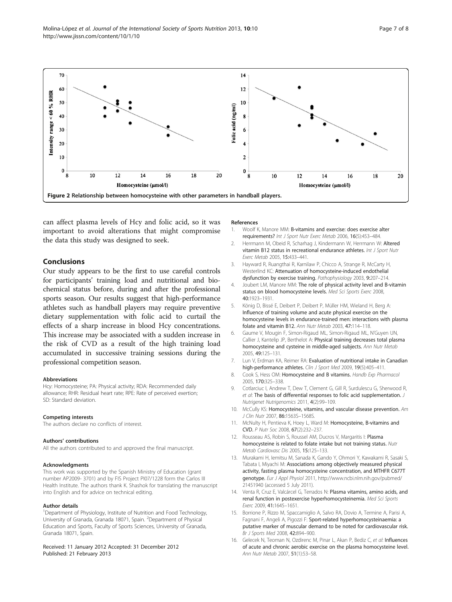<span id="page-6-0"></span>Molina-López et al. Journal of the International Society of Sports Nutrition 2013, 10:10 http://www.jissn.com/content/10/1/10



can affect plasma levels of Hcy and folic acid, so it was important to avoid alterations that might compromise the data this study was designed to seek.

#### Conclusions

Our study appears to be the first to use careful controls for participants' training load and nutritional and biochemical status before, during and after the professional sports season. Our results suggest that high-performance athletes such as handball players may require preventive dietary supplementation with folic acid to curtail the effects of a sharp increase in blood Hcy concentrations. This increase may be associated with a sudden increase in the risk of CVD as a result of the high training load accumulated in successive training sessions during the professional competition season.

#### Abbreviations

Hcy: Homocysteine; PA: Physical activity; RDA: Recommended daily allowance; RHR: Residual heart rate; RPE: Rate of perceived exertion; SD: Standard deviation.

#### Competing interests

The authors declare no conflicts of interest.

#### Authors' contributions

All the authors contributed to and approved the final manuscript.

#### Acknowledgments

This work was supported by the Spanish Ministry of Education (grant number AP2009- 3701) and by FIS Project PI07/1228 form the Carlos III Health Institute. The authors thank K. Shashok for translating the manuscript into English and for advice on technical editing.

#### Author details

<sup>1</sup>Department of Physiology, Institute of Nutrition and Food Technology, University of Granada, Granada 18071, Spain. <sup>2</sup>Department of Physical Education and Sports, Faculty of Sports Sciences, University of Granada, Granada 18071, Spain.

Received: 11 January 2012 Accepted: 31 December 2012 Published: 21 February 2013

#### References

- 1. Woolf K, Manore MM: B-vitamins and exercise: does exercise alter requirements? Int J Sport Nutr Exerc Metab 2006, 16(5):453–484.
- 2. Herrmann M, Obeid R, Scharhag J, Kindermann W, Herrmann W: Altered vitamin B12 status in recreational endurance athletes. Int J Sport Nutr Exerc Metab 2005, 15:433–441.
- 3. Hayward R, Ruangthai R, Karnilaw P, Chicco A, Strange R, McCarty H, Westerlind KC: Attenuation of homocysteine-induced endothelial dysfunction by exercise training. Pathophysiology 2003, 9:207–214.
- 4. Joubert LM, Manore MM: The role of physical activity level and B-vitamin status on blood homocysteine levels. Med Sci Sports Exerc 2008, 40:1923–1931.
- 5. König D, Bissé E, Deibert P, Deibert P, Müller HM, Wieland H, Berg A: Influence of training volume and acute physical exercise on the homocysteine levels in endurance-trained men: interactions with plasma folate and vitamin B12. Ann Nutr Metab 2003, 47:114–118.
- 6. Gaume V, Mougin F, Simon-Rigaud ML, Simon-Rigaud ML, N'Guyen UN, Callier J, Kantelip JP, Berthelot A: Physical training decreases total plasma homocysteine and cysteine in middle-aged subjects. Ann Nutr Metab 2005, 49:125–131.
- 7. Lun V, Erdman KA, Reimer RA: Evaluation of nutritional intake in Canadian high-performance athletes. Clin J Sport Med 2009, 19(5):405-411.
- 8. Cook S, Hess OM: Homocysteine and B vitamins. Handb Exp Pharmacol 2005, 170:325–338.
- 9. Cotlarciuc I, Andrew T, Dew T, Clement G, Gill R, Surdulescu G, Sherwood R, et al: The basis of differential responses to folic acid supplementation. J Nutrigenet Nutrigenomics 2011, 4(2):99–109.
- 10. McCully KS: Homocysteine, vitamins, and vascular disease prevention. Am J Clin Nutr 2007, 86:1563S–1568S.
- 11. McNulty H, Pentieva K, Hoey L, Ward M: Homocysteine, B-vitamins and CVD. P Nutr Soc 2008, 67(2):232–237.
- 12. Rousseau AS, Robin S, Roussel AM, Ducros V, Margaritis I: Plasma homocysteine is related to folate intake but not training status. Nutr Metab Cardiovasc Dis 2005, 15:125–133.
- 13. Murakami H, Iemitsu M, Sanada K, Gando Y, Ohmori Y, Kawakami R, Sasaki S, Tabata I, Miyachi M: Associations among objectively measured physical activity, fasting plasma homocysteine concentration, and MTHFR C677T genotype. Eur J Appl Physiol 2011, [http://www.ncbi.nlm.nih.gov/pubmed/](http://www.ncbi.nlm.nih.gov/pubmed/21451940) [21451940](http://www.ncbi.nlm.nih.gov/pubmed/21451940) (accessed 5 July 2011).
- 14. Venta R, Cruz E, Valcárcel G, Terrados N: Plasma vitamins, amino acids, and renal function in postexercise hyperhomocysteinemia. Med Sci Sports Exerc 2009, 41:1645–1651.
- 15. Borrione P, Rizzo M, Spaccamiglio A, Salvo RA, Dovio A, Termine A, Parisi A, Fagnani F, Angeli A, Pigozzi F: Sport-related hyperhomocysteinaemia: a putative marker of muscular demand to be noted for cardiovascular risk. Br J Sports Med 2008, 42:894–900.
- 16. Gelecek N, Teoman N, Ozdirenc M, Pinar L, Akan P, Bediz C, et al: Influences of acute and chronic aerobic exercise on the plasma homocysteine level. Ann Nutr Metab 2007, 51(1):53–58.